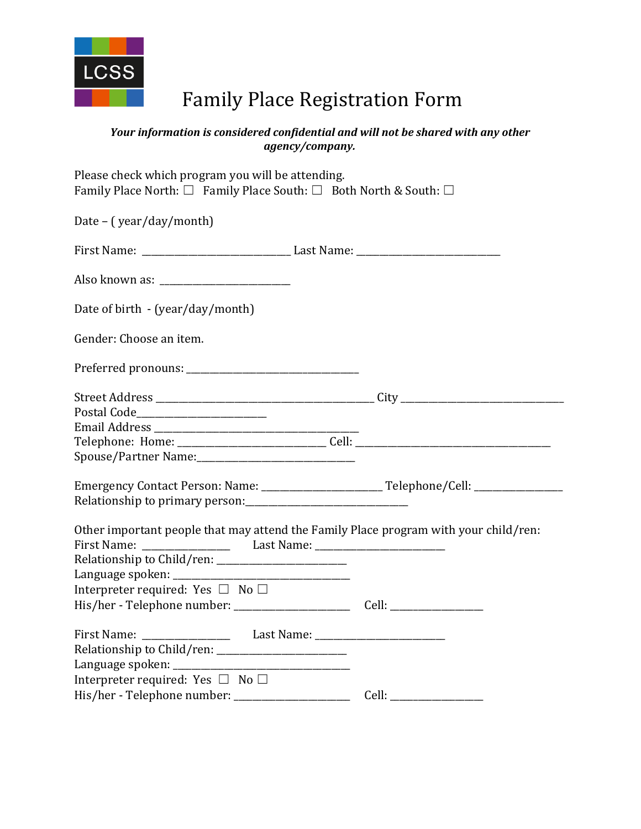

## Family Place Registration Form

## *Your information is considered confidential and will not be shared with any other agency/company.*

| Please check which program you will be attending.<br>Family Place North: $\square$ Family Place South: $\square$ Both North & South: $\square$                           |  |
|--------------------------------------------------------------------------------------------------------------------------------------------------------------------------|--|
| Date – (year/day/month)                                                                                                                                                  |  |
|                                                                                                                                                                          |  |
|                                                                                                                                                                          |  |
| Date of birth - (year/day/month)                                                                                                                                         |  |
| Gender: Choose an item.                                                                                                                                                  |  |
|                                                                                                                                                                          |  |
|                                                                                                                                                                          |  |
| Postal Code________________________                                                                                                                                      |  |
|                                                                                                                                                                          |  |
|                                                                                                                                                                          |  |
|                                                                                                                                                                          |  |
| Emergency Contact Person: Name: ____________________________Telephone/Cell: _______________________                                                                      |  |
|                                                                                                                                                                          |  |
| Other important people that may attend the Family Place program with your child/ren:<br>First Name: _____________________ Last Name: ___________________________________ |  |
|                                                                                                                                                                          |  |
|                                                                                                                                                                          |  |
| Interpreter required: Yes $\Box$ No $\Box$                                                                                                                               |  |
|                                                                                                                                                                          |  |
|                                                                                                                                                                          |  |
|                                                                                                                                                                          |  |
|                                                                                                                                                                          |  |
| Interpreter required: Yes $\Box$ No $\Box$                                                                                                                               |  |
|                                                                                                                                                                          |  |
|                                                                                                                                                                          |  |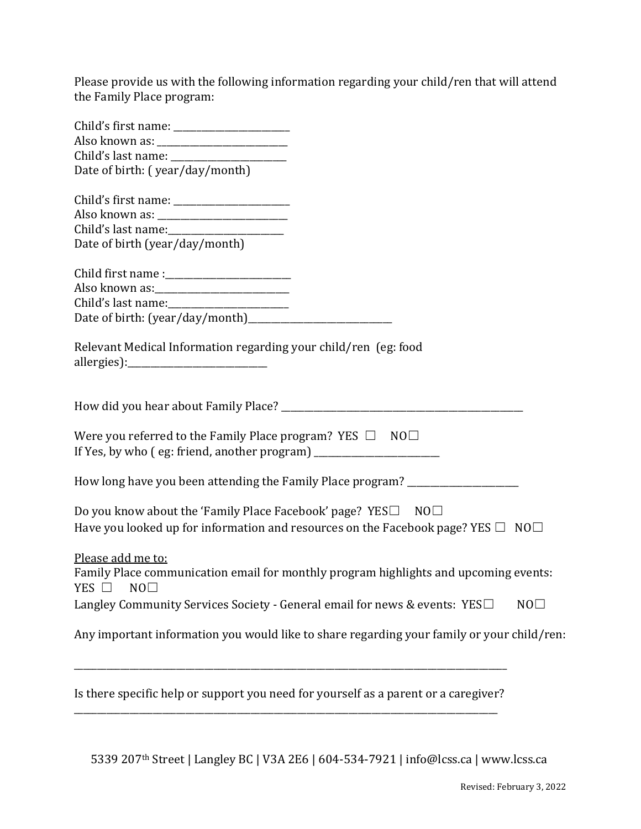Please provide us with the following information regarding your child/ren that will attend the Family Place program:

| Date of birth: (year/day/month)                                                                                                                         |    |  |
|---------------------------------------------------------------------------------------------------------------------------------------------------------|----|--|
|                                                                                                                                                         |    |  |
|                                                                                                                                                         |    |  |
|                                                                                                                                                         |    |  |
| Date of birth (year/day/month)                                                                                                                          |    |  |
|                                                                                                                                                         |    |  |
|                                                                                                                                                         |    |  |
|                                                                                                                                                         |    |  |
|                                                                                                                                                         |    |  |
| Relevant Medical Information regarding your child/ren (eg: food                                                                                         |    |  |
|                                                                                                                                                         |    |  |
| Were you referred to the Family Place program? YES $\Box$ NO $\Box$<br>If Yes, by who (eg: friend, another program) ___________________________________ |    |  |
| How long have you been attending the Family Place program? _____________________                                                                        |    |  |
| Do you know about the 'Family Place Facebook' page? YES□ NO□                                                                                            |    |  |
| Have you looked up for information and resources on the Facebook page? YES $\Box$ NO $\Box$                                                             |    |  |
| Please add me to:                                                                                                                                       |    |  |
| Family Place communication email for monthly program highlights and upcoming events:                                                                    |    |  |
| YES $\Box$ NO $\Box$                                                                                                                                    |    |  |
| Langley Community Services Society - General email for news & events: YES□                                                                              | NO |  |
| Any important information you would like to share regarding your family or your child/ren:                                                              |    |  |
| Is there specific help or support you need for yourself as a parent or a caregiver?                                                                     |    |  |

5339 207th Street | Langley BC | V3A 2E6 | 604-534-7921 | [info@lcss.ca](mailto:info@lcss.ca) | www.lcss.ca

\_\_\_\_\_\_\_\_\_\_\_\_\_\_\_\_\_\_\_\_\_\_\_\_\_\_\_\_\_\_\_\_\_\_\_\_\_\_\_\_\_\_\_\_\_\_\_\_\_\_\_\_\_\_\_\_\_\_\_\_\_\_\_\_\_\_\_\_\_\_\_\_\_\_\_\_\_\_\_\_\_\_\_\_\_\_\_\_\_\_\_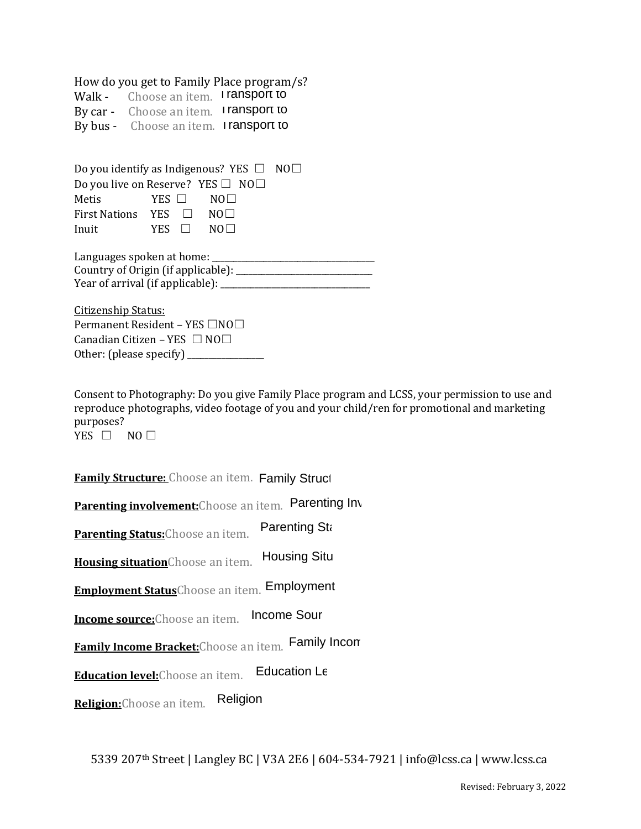How do you get to Family Place program/s?<br>Walk - Choose an item. **I ransport to** 

Walk - Choose an item. **I ransport to** By car - Choose an item. I **ransport to**<br>By bus - Choose an item. I **ransport to** By bus - Choose an item. I ransport to

|                                                                              |              | Do you identify as Indigenous? YES $\Box$ NO $\Box$ |  |
|------------------------------------------------------------------------------|--------------|-----------------------------------------------------|--|
|                                                                              |              | Do you live on Reserve? YES $\Box$ NO $\Box$        |  |
| Metis                                                                        | $YES$ $\Box$ | NOL L                                               |  |
| First Nations YES $\Box$ NO $\Box$                                           |              |                                                     |  |
| Inuit                                                                        | YES II       | NOL L                                               |  |
| Languages spoken at home: _____<br>$\alpha$ . $\alpha$ . $\alpha$ . $\alpha$ |              |                                                     |  |

| Country of Origin (if applicable): |  |
|------------------------------------|--|
| Year of arrival (if applicable):   |  |

Citizenship Status: Permanent Resident – YES □NO□ Canadian Citizen – YES  $\Box$  NO $\Box$ Other: (please specify)  $\frac{1}{2}$ 

Consent to Photography: Do you give Family Place program and LCSS, your permission to use and reproduce photographs, video footage of you and your child/ren for promotional and marketing purposes?

YES □ NO □

**<u>Family Structure: Choose an item. Family Struct</u>** 

**Parenting involvement:**Choose an item. Parenting Inv

**Parenting Status:**Choose an item. Parenting Sta

**Housing situation**Choose an item. **Housing Situ** 

**Employment Status**Choose an item. Employment Status

**Income source:**Choose an item. Income Sour

**Family Income Bracket:**Choose an item. Family Income Bracket

**Education level:**Choose an item. Education Le

**Religion:**Choose an item. Religion

5339 207th Street | Langley BC | V3A 2E6 | 604-534-7921 | [info@lcss.ca](mailto:info@lcss.ca) | www.lcss.ca